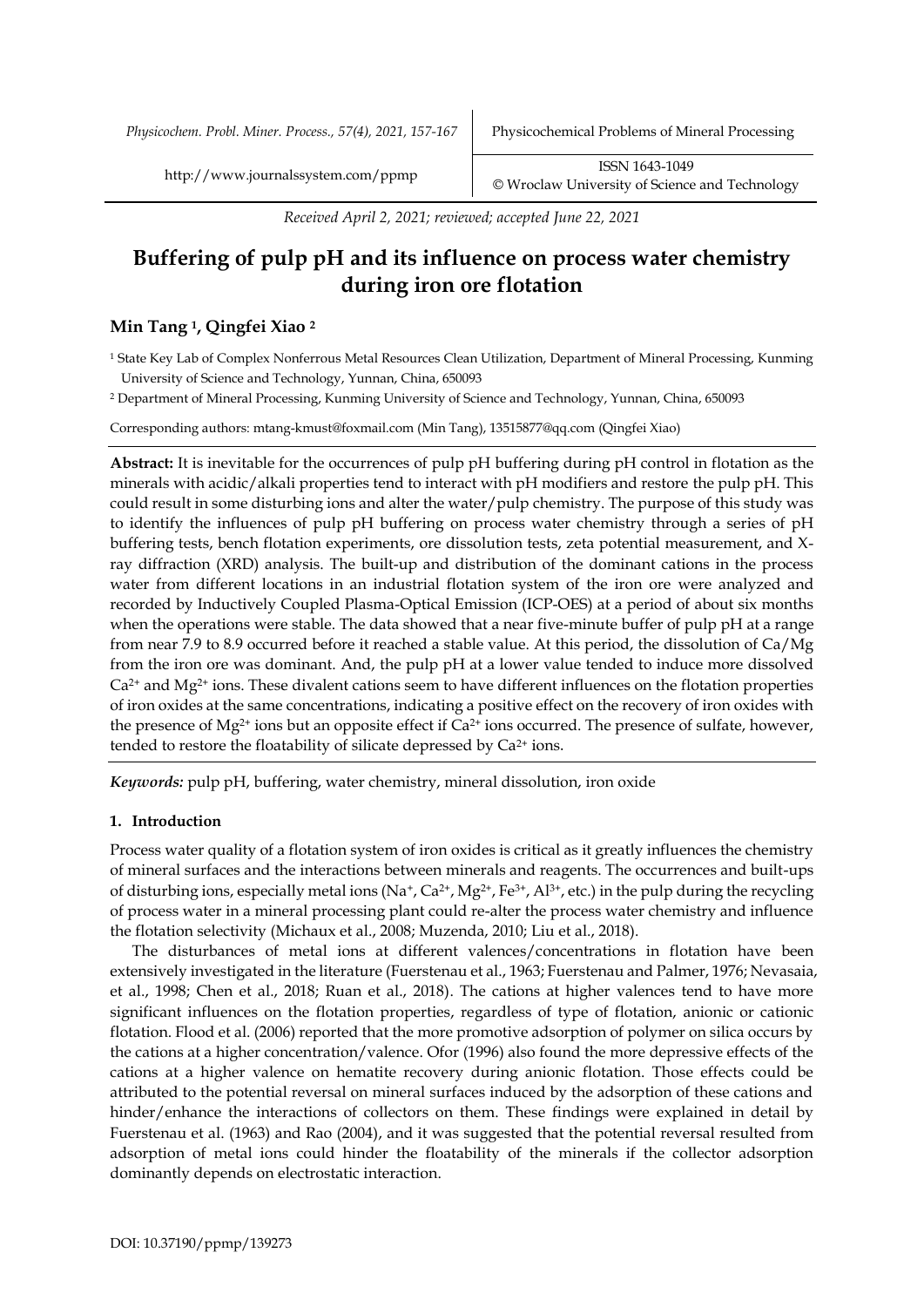*Physicochem. Probl. Miner. Process., 57(4), 2021, 157-167* Physicochemical Problems of Mineral Processing

http://www.journalssystem.com/ppmp ISSN 1643-1049 [©](http://www.minproc.pwr.wroc.pl/journal/) Wroclaw University of Science and Technology

*Received April 2, 2021; reviewed; accepted June 22, 2021*

# **Buffering of pulp pH and its influence on process water chemistry during iron ore flotation**

## **Min Tang <sup>1</sup>, Qingfei Xiao <sup>2</sup>**

<sup>1</sup> State Key Lab of Complex Nonferrous Metal Resources Clean Utilization, Department of Mineral Processing, Kunming University of Science and Technology, Yunnan, China, 650093

<sup>2</sup> Department of Mineral Processing, Kunming University of Science and Technology, Yunnan, China, 650093

Corresponding authors: mtang-kmust@foxmail.com (Min Tang), 13515877@qq.com (Qingfei Xiao)

**Abstract:** It is inevitable for the occurrences of pulp pH buffering during pH control in flotation as the minerals with acidic/alkali properties tend to interact with pH modifiers and restore the pulp pH. This could result in some disturbing ions and alter the water/pulp chemistry. The purpose of this study was to identify the influences of pulp pH buffering on process water chemistry through a series of pH buffering tests, bench flotation experiments, ore dissolution tests, zeta potential measurement, and Xray diffraction (XRD) analysis. The built-up and distribution of the dominant cations in the process water from different locations in an industrial flotation system of the iron ore were analyzed and recorded by Inductively Coupled Plasma-Optical Emission (ICP-OES) at a period of about six months when the operations were stable. The data showed that a near five-minute buffer of pulp pH at a range from near 7.9 to 8.9 occurred before it reached a stable value. At this period, the dissolution of Ca/Mg from the iron ore was dominant. And, the pulp pH at a lower value tended to induce more dissolved  $Ca<sup>2+</sup>$  and Mg<sup>2+</sup> ions. These divalent cations seem to have different influences on the flotation properties of iron oxides at the same concentrations, indicating a positive effect on the recovery of iron oxides with the presence of Mg<sup>2+</sup> ions but an opposite effect if  $Ca^{2+}$  ions occurred. The presence of sulfate, however, tended to restore the floatability of silicate depressed by Ca<sup>2+</sup> ions.

*Keywords:* pulp pH, buffering, water chemistry, mineral dissolution, iron oxide

## **1. Introduction**

Process water quality of a flotation system of iron oxides is critical as it greatly influences the chemistry of mineral surfaces and the interactions between minerals and reagents. The occurrences and built-ups of disturbing ions, especially metal ions  $(Na^+, Ca^{2+}, Mg^{2+}, Fe^{3+}, Al^{3+}, etc.)$  in the pulp during the recycling of process water in a mineral processing plant could re-alter the process water chemistry and influence the flotation selectivity (Michaux et al., 2008; Muzenda, 2010; Liu et al., 2018).

The disturbances of metal ions at different valences/concentrations in flotation have been extensively investigated in the literature (Fuerstenau et al., 1963; Fuerstenau and Palmer, 1976; Nevasaia, et al., 1998; Chen et al., 2018; Ruan et al., 2018). The cations at higher valences tend to have more significant influences on the flotation properties, regardless of type of flotation, anionic or cationic flotation. Flood et al. (2006) reported that the more promotive adsorption of polymer on silica occurs by the cations at a higher concentration/valence. Ofor (1996) also found the more depressive effects of the cations at a higher valence on hematite recovery during anionic flotation. Those effects could be attributed to the potential reversal on mineral surfaces induced by the adsorption of these cations and hinder/enhance the interactions of collectors on them. These findings were explained in detail by Fuerstenau et al. (1963) and Rao (2004), and it was suggested that the potential reversal resulted from adsorption of metal ions could hinder the floatability of the minerals if the collector adsorption dominantly depends on electrostatic interaction.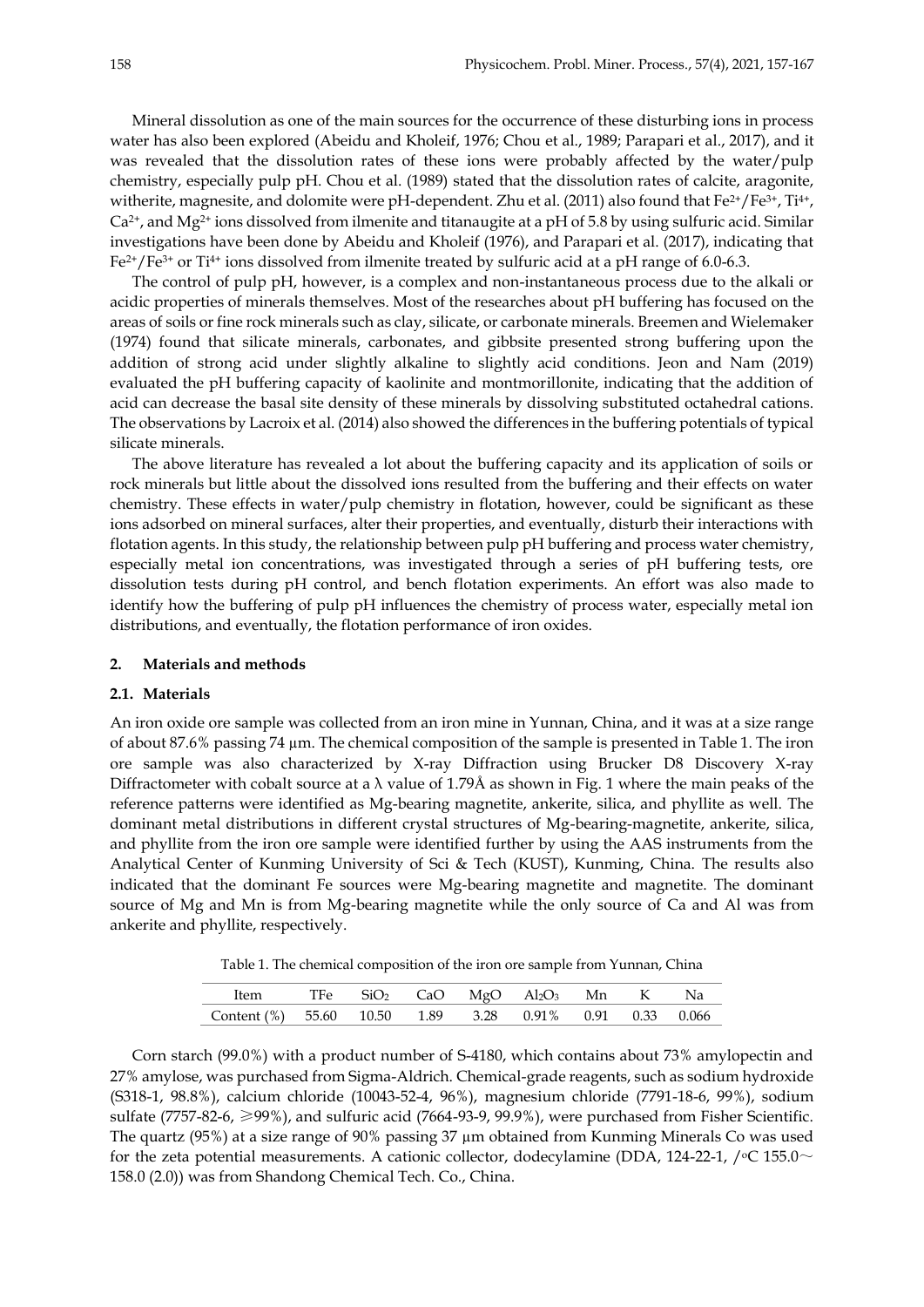Mineral dissolution as one of the main sources for the occurrence of these disturbing ions in process water has also been explored (Abeidu and Kholeif, 1976; Chou et al., 1989; Parapari et al., 2017), and it was revealed that the dissolution rates of these ions were probably affected by the water/pulp chemistry, especially pulp pH. Chou et al. (1989) stated that the dissolution rates of calcite, aragonite, witherite, magnesite, and dolomite were pH-dependent. Zhu et al. (2011) also found that  $Fe^{2+}/Fe^{3+}$ , Ti<sup>4+</sup>, Ca2+, and Mg2+ ions dissolved from ilmenite and titanaugite at a pH of 5.8 by using sulfuric acid. Similar investigations have been done by Abeidu and Kholeif (1976), and Parapari et al. (2017), indicating that Fe<sup>2+</sup>/Fe<sup>3+</sup> or Ti<sup>4+</sup> ions dissolved from ilmenite treated by sulfuric acid at a pH range of 6.0-6.3.

The control of pulp pH, however, is a complex and non-instantaneous process due to the alkali or acidic properties of minerals themselves. Most of the researches about pH buffering has focused on the areas of soils or fine rock minerals such as clay, silicate, or carbonate minerals. Breemen and Wielemaker (1974) found that silicate minerals, carbonates, and gibbsite presented strong buffering upon the addition of strong acid under slightly alkaline to slightly acid conditions. Jeon and Nam (2019) evaluated the pH buffering capacity of kaolinite and montmorillonite, indicating that the addition of acid can decrease the basal site density of these minerals by dissolving substituted octahedral cations. The observations by Lacroix et al. (2014) also showed the differences in the buffering potentials of typical silicate minerals.

The above literature has revealed a lot about the buffering capacity and its application of soils or rock minerals but little about the dissolved ions resulted from the buffering and their effects on water chemistry. These effects in water/pulp chemistry in flotation, however, could be significant as these ions adsorbed on mineral surfaces, alter their properties, and eventually, disturb their interactions with flotation agents. In this study, the relationship between pulp pH buffering and process water chemistry, especially metal ion concentrations, was investigated through a series of pH buffering tests, ore dissolution tests during pH control, and bench flotation experiments. An effort was also made to identify how the buffering of pulp pH influences the chemistry of process water, especially metal ion distributions, and eventually, the flotation performance of iron oxides.

## **2. Materials and methods**

#### **2.1. Materials**

An iron oxide ore sample was collected from an iron mine in Yunnan, China, and it was at a size range of about 87.6% passing 74 µm. The chemical composition of the sample is presented in Table 1. The iron ore sample was also characterized by X-ray Diffraction using Brucker D8 Discovery X-ray Diffractometer with cobalt source at a  $\lambda$  value of 1.79Å as shown in Fig. 1 where the main peaks of the reference patterns were identified as Mg-bearing magnetite, ankerite, silica, and phyllite as well. The dominant metal distributions in different crystal structures of Mg-bearing-magnetite, ankerite, silica, and phyllite from the iron ore sample were identified further by using the AAS instruments from the Analytical Center of Kunming University of Sci & Tech (KUST), Kunming, China. The results also indicated that the dominant Fe sources were Mg-bearing magnetite and magnetite. The dominant source of Mg and Mn is from Mg-bearing magnetite while the only source of Ca and Al was from ankerite and phyllite, respectively.

Table 1. The chemical composition of the iron ore sample from Yunnan, China

| Item TFe SiO <sub>2</sub> CaO MgO Al <sub>2</sub> O <sub>3</sub> Mn K Na |  |  |  |  |
|--------------------------------------------------------------------------|--|--|--|--|
| Content (%) 55.60 10.50 1.89 3.28 0.91% 0.91 0.33 0.066                  |  |  |  |  |

Corn starch (99.0%) with a product number of S-4180, which contains about 73% amylopectin and 27% amylose, was purchased from Sigma-Aldrich. Chemical-grade reagents, such as sodium hydroxide (S318-1, 98.8%), calcium chloride (10043-52-4, 96%), magnesium chloride (7791-18-6, 99%), sodium sulfate (7757-82-6, ≥99%), and sulfuric acid (7664-93-9, 99.9%), were purchased from Fisher Scientific. The quartz (95%) at a size range of 90% passing 37 µm obtained from Kunming Minerals Co was used for the zeta potential measurements. A cationic collector, dodecylamine (DDA, 124-22-1, / $\degree$ C 155.0 $\sim$ 158.0 (2.0)) was from Shandong Chemical Tech. Co., China.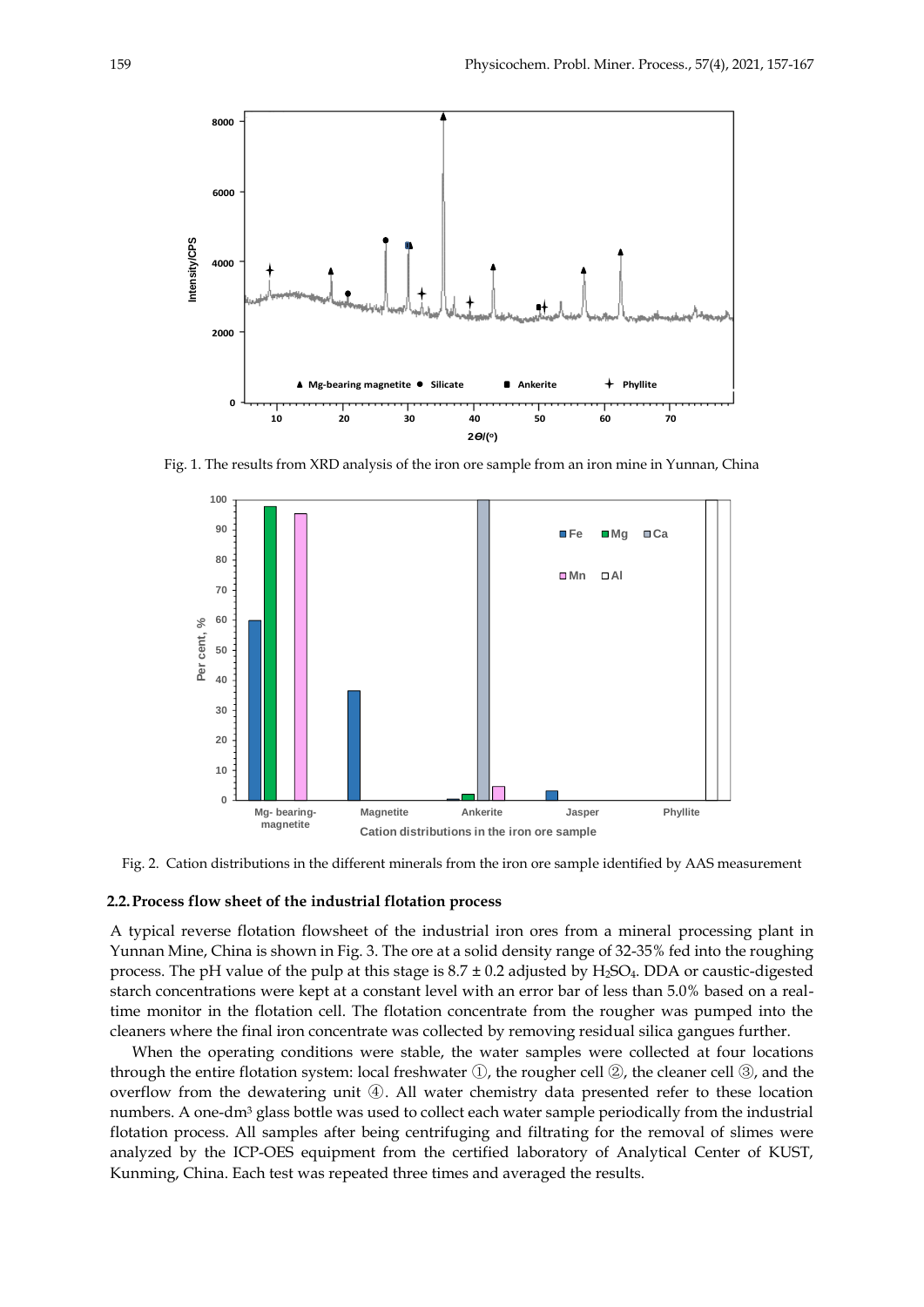

Fig. 1. The results from XRD analysis of the iron ore sample from an iron mine in Yunnan, China



Fig. 2. Cation distributions in the different minerals from the iron ore sample identified by AAS measurement

## **2.2.Process flow sheet of the industrial flotation process**

A typical reverse flotation flowsheet of the industrial iron ores from a mineral processing plant in Yunnan Mine, China is shown in Fig. 3. The ore at a solid density range of 32-35% fed into the roughing process. The pH value of the pulp at this stage is  $8.7 \pm 0.2$  adjusted by H<sub>2</sub>SO<sub>4</sub>. DDA or caustic-digested starch concentrations were kept at a constant level with an error bar of less than 5.0% based on a realtime monitor in the flotation cell. The flotation concentrate from the rougher was pumped into the cleaners where the final iron concentrate was collected by removing residual silica gangues further.

When the operating conditions were stable, the water samples were collected at four locations through the entire flotation system: local freshwater ①, the rougher cell ②, the cleaner cell ③, and the overflow from the dewatering unit ④. All water chemistry data presented refer to these location numbers. A one-dm<sup>3</sup> glass bottle was used to collect each water sample periodically from the industrial flotation process. All samples after being centrifuging and filtrating for the removal of slimes were analyzed by the ICP-OES equipment from the certified laboratory of Analytical Center of KUST, Kunming, China. Each test was repeated three times and averaged the results.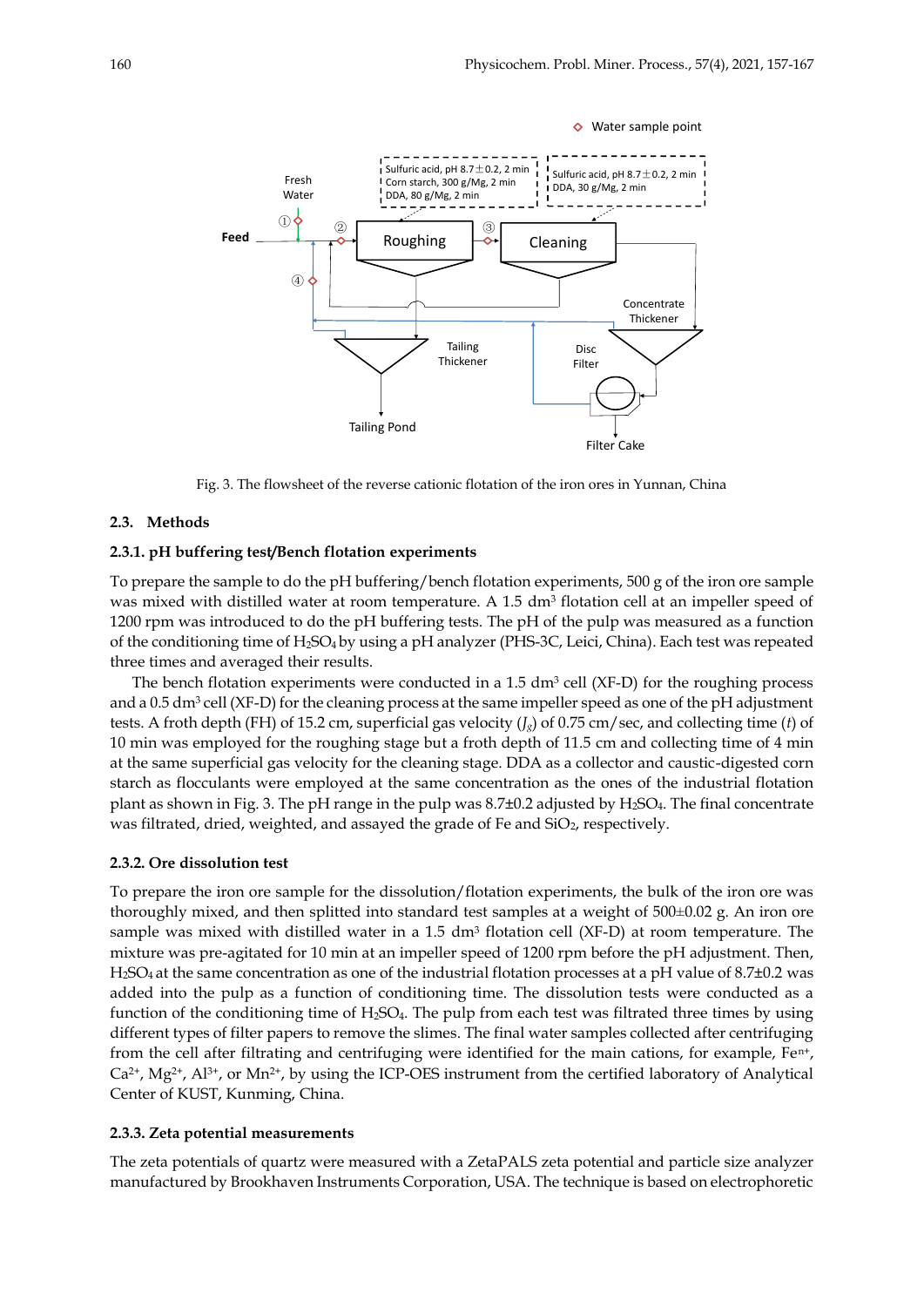

Fig. 3. The flowsheet of the reverse cationic flotation of the iron ores in Yunnan, China

#### **2.3. Methods**

## **2.3.1. pH buffering test/Bench flotation experiments**

To prepare the sample to do the pH buffering/bench flotation experiments, 500 g of the iron ore sample was mixed with distilled water at room temperature. A 1.5 dm<sup>3</sup> flotation cell at an impeller speed of 1200 rpm was introduced to do the pH buffering tests. The pH of the pulp was measured as a function of the conditioning time of H2SO<sup>4</sup> by using a pH analyzer (PHS-3C, Leici, China). Each test was repeated three times and averaged their results.

The bench flotation experiments were conducted in a  $1.5 \text{ dm}^3$  cell (XF-D) for the roughing process and a 0.5 dm<sup>3</sup> cell (XF-D) for the cleaning process at the same impeller speed as one of the pH adjustment tests. A froth depth (FH) of 15.2 cm, superficial gas velocity (*Jg*) of 0.75 cm/sec, and collecting time (*t*) of 10 min was employed for the roughing stage but a froth depth of 11.5 cm and collecting time of 4 min at the same superficial gas velocity for the cleaning stage. DDA as a collector and caustic-digested corn starch as flocculants were employed at the same concentration as the ones of the industrial flotation plant as shown in Fig. 3. The pH range in the pulp was  $8.7\pm0.2$  adjusted by  $H_2SO_4$ . The final concentrate was filtrated, dried, weighted, and assayed the grade of Fe and SiO<sub>2</sub>, respectively.

## **2.3.2. Ore dissolution test**

To prepare the iron ore sample for the dissolution/flotation experiments, the bulk of the iron ore was thoroughly mixed, and then splitted into standard test samples at a weight of 500±0.02 g. An iron ore sample was mixed with distilled water in a 1.5  $dm^3$  flotation cell (XF-D) at room temperature. The mixture was pre-agitated for 10 min at an impeller speed of 1200 rpm before the pH adjustment. Then, H2SO<sup>4</sup> at the same concentration as one of the industrial flotation processes at a pH value of 8.7±0.2 was added into the pulp as a function of conditioning time. The dissolution tests were conducted as a function of the conditioning time of H2SO4. The pulp from each test was filtrated three times by using different types of filter papers to remove the slimes. The final water samples collected after centrifuging from the cell after filtrating and centrifuging were identified for the main cations, for example,  $Fe<sup>n+</sup>$ ,  $Ca^{2+}$ ,  $Mg^{2+}$ ,  $Al^{3+}$ , or  $Mn^{2+}$ , by using the ICP-OES instrument from the certified laboratory of Analytical Center of KUST, Kunming, China.

## **2.3.3. Zeta potential measurements**

The zeta potentials of quartz were measured with a ZetaPALS zeta potential and particle size analyzer manufactured by Brookhaven Instruments Corporation, USA. The technique is based on electrophoretic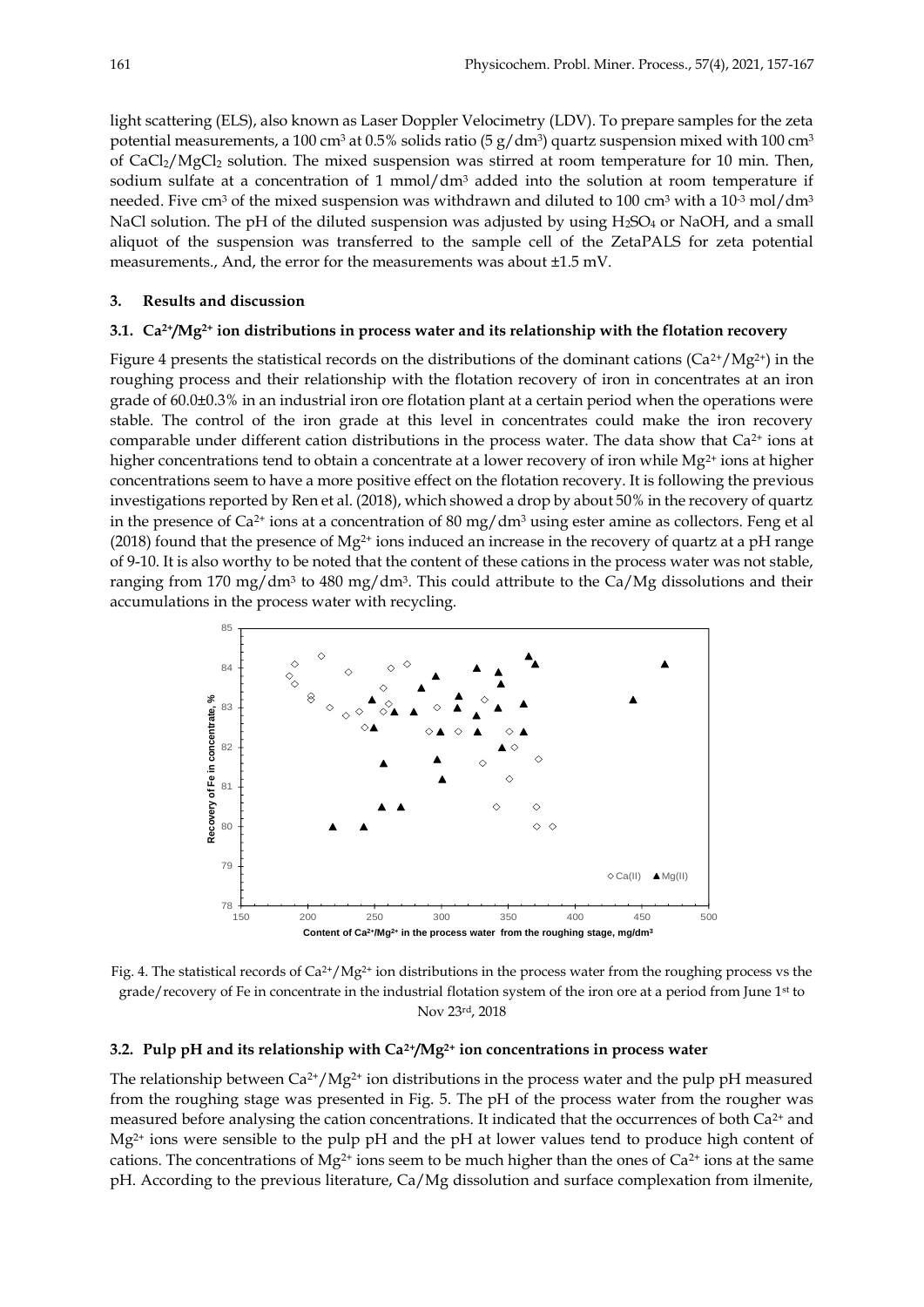light scattering (ELS), also known as Laser Doppler Velocimetry (LDV). To prepare samples for the zeta potential measurements, a 100 cm $^3$  at 0.5% solids ratio (5 g/dm $^3$ ) quartz suspension mixed with 100 cm $^3$ of CaCl2/MgCl<sup>2</sup> solution. The mixed suspension was stirred at room temperature for 10 min. Then, sodium sulfate at a concentration of 1 mmol/ $dm<sup>3</sup>$  added into the solution at room temperature if needed. Five cm<sup>3</sup> of the mixed suspension was withdrawn and diluted to 100 cm<sup>3</sup> with a 10<sup>-3</sup> mol/dm<sup>3</sup> NaCl solution. The pH of the diluted suspension was adjusted by using  $H_2SO_4$  or NaOH, and a small aliquot of the suspension was transferred to the sample cell of the ZetaPALS for zeta potential measurements., And, the error for the measurements was about ±1.5 mV.

## **3. Results and discussion**

## **3.1. Ca2+/Mg2+ ion distributions in process water and its relationship with the flotation recovery**

Figure 4 presents the statistical records on the distributions of the dominant cations ( $Ca^{2+}/Mg^{2+}$ ) in the roughing process and their relationship with the flotation recovery of iron in concentrates at an iron grade of 60.0±0.3% in an industrial iron ore flotation plant at a certain period when the operations were stable. The control of the iron grade at this level in concentrates could make the iron recovery comparable under different cation distributions in the process water. The data show that  $Ca<sup>2+</sup>$  ions at higher concentrations tend to obtain a concentrate at a lower recovery of iron while  $Mg^{2+}$  ions at higher concentrations seem to have a more positive effect on the flotation recovery. It is following the previous investigations reported by Ren et al. (2018), which showed a drop by about 50% in the recovery of quartz in the presence of  $Ca^{2+}$  ions at a concentration of 80 mg/dm<sup>3</sup> using ester amine as collectors. Feng et al (2018) found that the presence of  $Mg^{2+}$  ions induced an increase in the recovery of quartz at a pH range of 9-10. It is also worthy to be noted that the content of these cations in the process water was not stable, ranging from 170 mg/dm<sup>3</sup> to 480 mg/dm<sup>3</sup>. This could attribute to the Ca/Mg dissolutions and their accumulations in the process water with recycling.



Fig. 4. The statistical records of  $Ca^{2+}/Mg^{2+}$  ion distributions in the process water from the roughing process vs the grade/recovery of Fe in concentrate in the industrial flotation system of the iron ore at a period from June 1st to Nov 23rd, 2018

## **3.2. Pulp pH and its relationship with Ca2+/Mg2+ ion concentrations in process water**

The relationship between  $Ca^{2+}/Mg^{2+}$  ion distributions in the process water and the pulp pH measured from the roughing stage was presented in Fig. 5. The pH of the process water from the rougher was measured before analysing the cation concentrations. It indicated that the occurrences of both  $Ca^{2+}$  and  $Mg^{2+}$  ions were sensible to the pulp pH and the pH at lower values tend to produce high content of cations. The concentrations of  $Mg^{2+}$  ions seem to be much higher than the ones of  $Ca^{2+}$  ions at the same pH. According to the previous literature, Ca/Mg dissolution and surface complexation from ilmenite,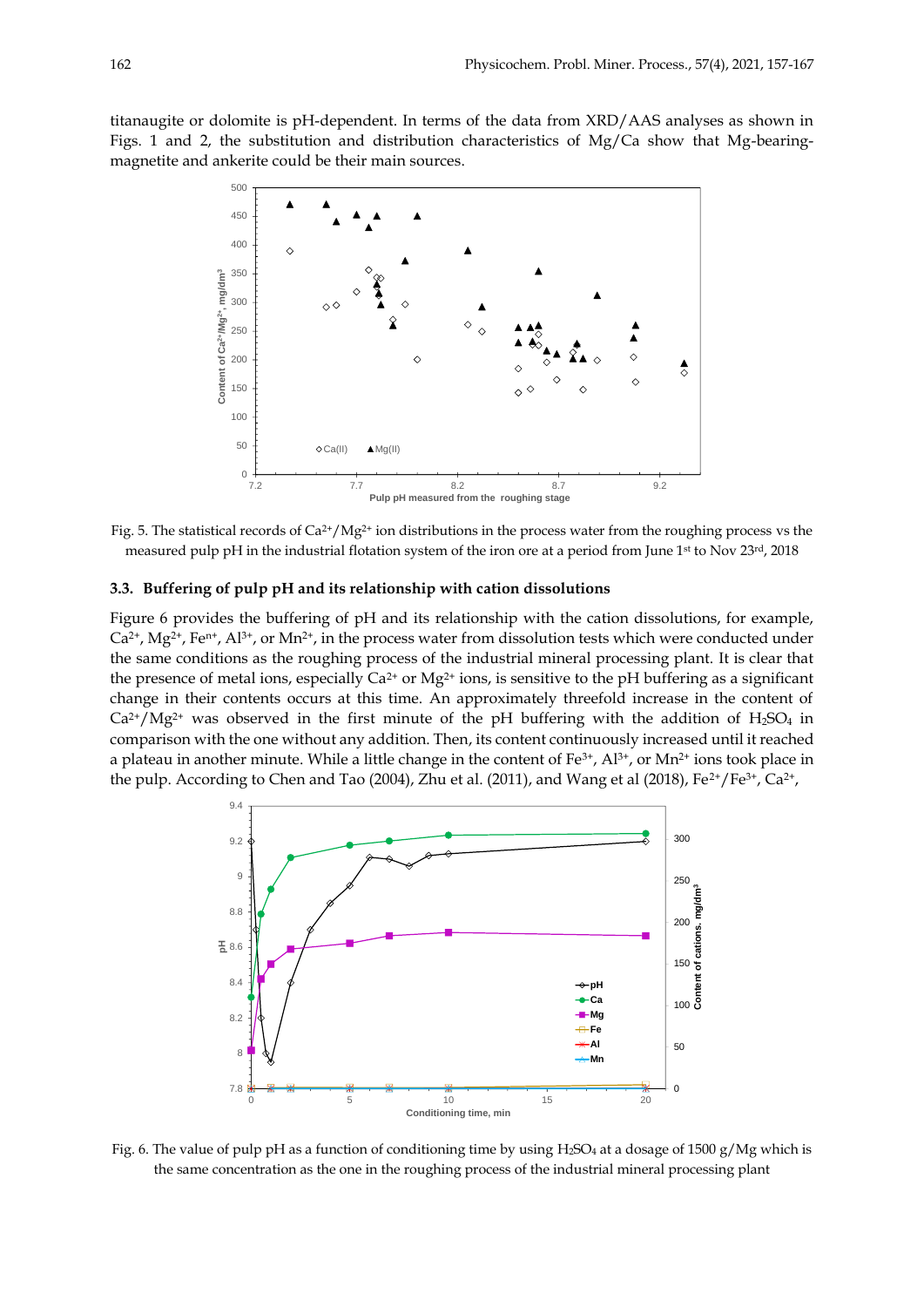titanaugite or dolomite is pH-dependent. In terms of the data from XRD/AAS analyses as shown in Figs. 1 and 2, the substitution and distribution characteristics of Mg/Ca show that Mg-bearingmagnetite and ankerite could be their main sources.



Fig. 5. The statistical records of  $Ca^{2+}/Mg^{2+}$  ion distributions in the process water from the roughing process vs the measured pulp pH in the industrial flotation system of the iron ore at a period from June 1st to Nov 23rd, 2018

## **3.3. Buffering of pulp pH and its relationship with cation dissolutions**

Figure 6 provides the buffering of pH and its relationship with the cation dissolutions, for example, Ca2+, Mg2+, Fen+, Al3+, or Mn2+, in the process water from dissolution tests which were conducted under the same conditions as the roughing process of the industrial mineral processing plant. It is clear that the presence of metal ions, especially  $Ca^{2+}$  or  $Mg^{2+}$  ions, is sensitive to the pH buffering as a significant change in their contents occurs at this time. An approximately threefold increase in the content of  $Ca^{2+}/Mg^{2+}$  was observed in the first minute of the pH buffering with the addition of H<sub>2</sub>SO<sub>4</sub> in comparison with the one without any addition. Then, its content continuously increased until it reached a plateau in another minute. While a little change in the content of  $Fe^{3+}$ ,  $Al^{3+}$ , or  $Mn^{2+}$  ions took place in the pulp. According to Chen and Tao (2004), Zhu et al. (2011), and Wang et al (2018), Fe<sup>2+</sup>/Fe<sup>3+</sup>, Ca<sup>2+</sup>,



Fig. 6. The value of pulp pH as a function of conditioning time by using H<sub>2</sub>SO<sub>4</sub> at a dosage of 1500 g/Mg which is the same concentration as the one in the roughing process of the industrial mineral processing plant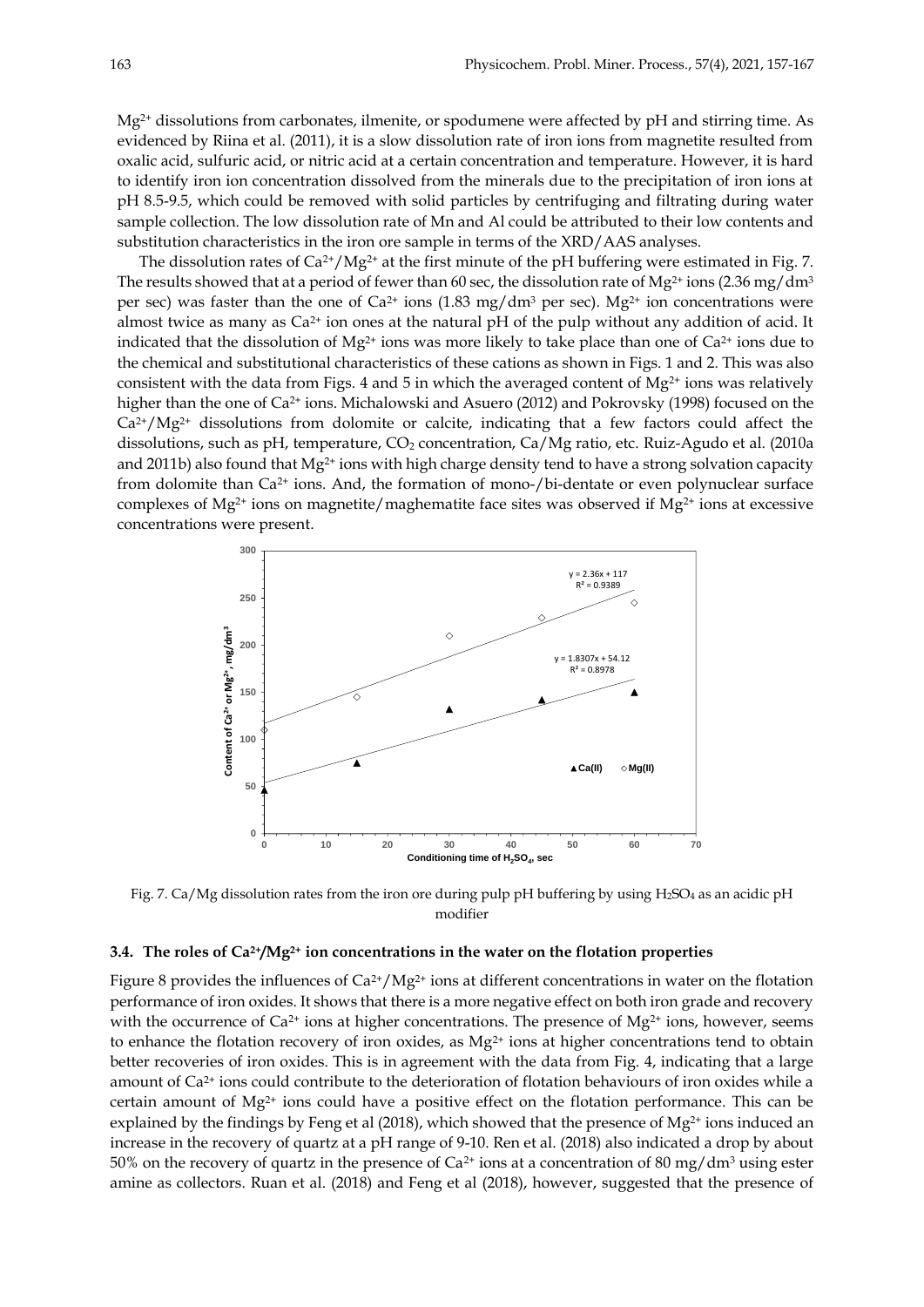$Mg^{2+}$  dissolutions from carbonates, ilmenite, or spodumene were affected by pH and stirring time. As evidenced by Riina et al. (2011), it is a slow dissolution rate of iron ions from magnetite resulted from oxalic acid, sulfuric acid, or nitric acid at a certain concentration and temperature. However, it is hard to identify iron ion concentration dissolved from the minerals due to the precipitation of iron ions at pH 8.5-9.5, which could be removed with solid particles by centrifuging and filtrating during water sample collection. The low dissolution rate of Mn and Al could be attributed to their low contents and substitution characteristics in the iron ore sample in terms of the XRD/AAS analyses.

The dissolution rates of Ca<sup>2+</sup>/Mg<sup>2+</sup> at the first minute of the pH buffering were estimated in Fig. 7. The results showed that at a period of fewer than 60 sec, the dissolution rate of Mg<sup>2+</sup> ions (2.36 mg/dm<sup>3</sup> per sec) was faster than the one of  $Ca^{2+}$  ions  $(1.83 \text{ mg/dm}^3 \text{ per sec})$ . Mg<sup>2+</sup> ion concentrations were almost twice as many as Ca<sup>2+</sup> ion ones at the natural pH of the pulp without any addition of acid. It indicated that the dissolution of  $Mg^{2+}$  ions was more likely to take place than one of  $Ca^{2+}$  ions due to the chemical and substitutional characteristics of these cations as shown in Figs. 1 and 2. This was also consistent with the data from Figs. 4 and 5 in which the averaged content of  $Mg^{2+}$  ions was relatively higher than the one of Ca<sup>2+</sup> ions. Michalowski and Asuero (2012) and Pokrovsky (1998) focused on the  $Ca^{2+}/Mg^{2+}$  dissolutions from dolomite or calcite, indicating that a few factors could affect the dissolutions, such as pH, temperature, CO<sub>2</sub> concentration, Ca/Mg ratio, etc. Ruiz-Agudo et al. (2010a and 2011b) also found that  $Mg^{2+}$  ions with high charge density tend to have a strong solvation capacity from dolomite than Ca2+ ions. And, the formation of mono-/bi-dentate or even polynuclear surface complexes of  $Mg^{2+}$  ions on magnetite/maghematite face sites was observed if  $Mg^{2+}$  ions at excessive concentrations were present.



Fig. 7. Ca/Mg dissolution rates from the iron ore during pulp pH buffering by using H<sub>2</sub>SO<sub>4</sub> as an acidic pH modifier

## **3.4. The roles of Ca2+/Mg2+ ion concentrations in the water on the flotation properties**

Figure 8 provides the influences of  $Ca^{2+}/Mg^{2+}$  ions at different concentrations in water on the flotation performance of iron oxides. It shows that there is a more negative effect on both iron grade and recovery with the occurrence of  $Ca^{2+}$  ions at higher concentrations. The presence of  $Mg^{2+}$  ions, however, seems to enhance the flotation recovery of iron oxides, as Mg<sup>2+</sup> ions at higher concentrations tend to obtain better recoveries of iron oxides. This is in agreement with the data from Fig. 4, indicating that a large amount of Ca2+ ions could contribute to the deterioration of flotation behaviours of iron oxides while a certain amount of  $Mg^{2+}$  ions could have a positive effect on the flotation performance. This can be explained by the findings by Feng et al (2018), which showed that the presence of Mg<sup>2+</sup> ions induced an increase in the recovery of quartz at a pH range of 9-10. Ren et al. (2018) also indicated a drop by about 50% on the recovery of quartz in the presence of Ca<sup>2+</sup> ions at a concentration of 80 mg/dm<sup>3</sup> using ester amine as collectors. Ruan et al. (2018) and Feng et al (2018), however, suggested that the presence of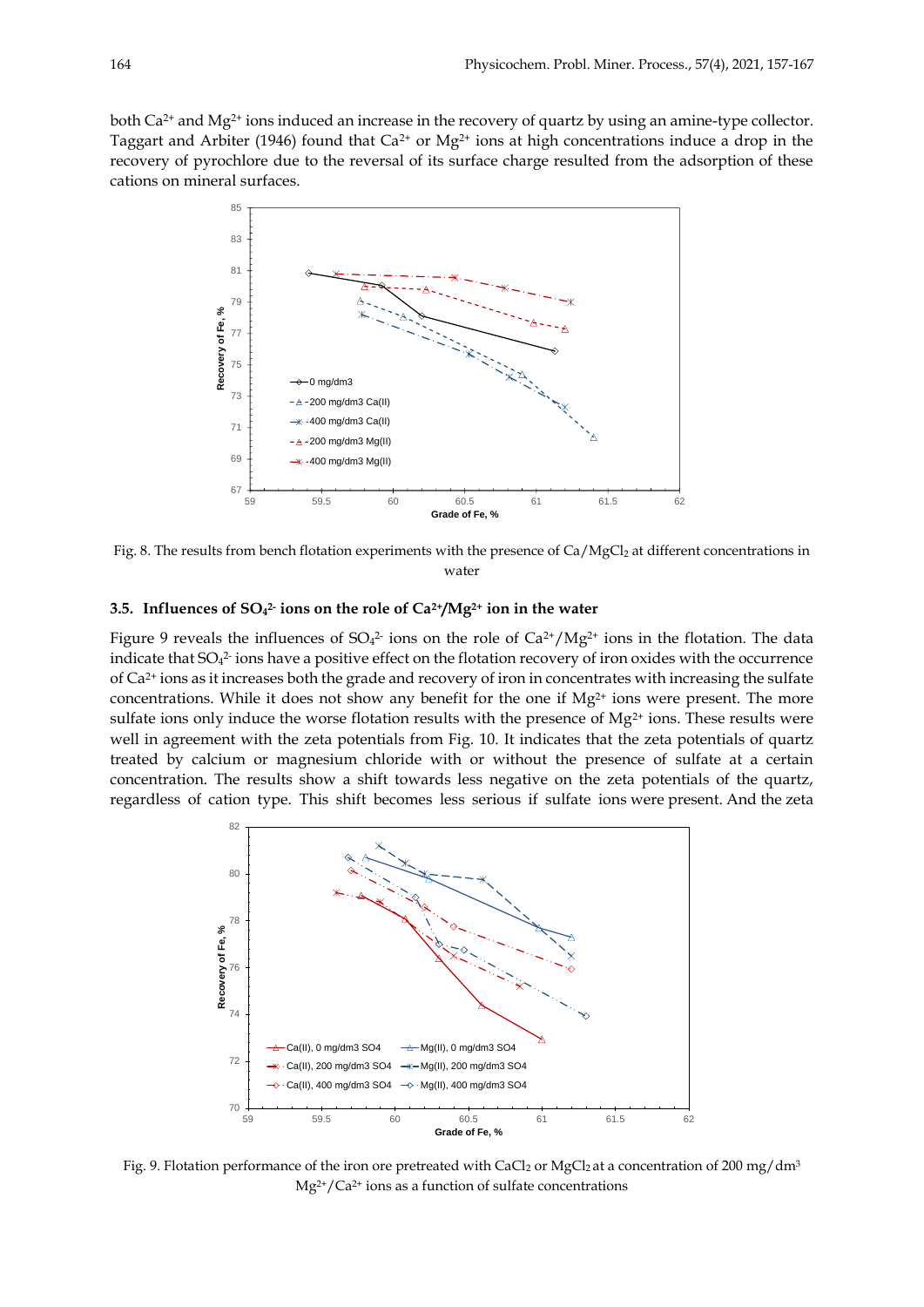both Ca2+ and Mg2+ ions induced an increase in the recovery of quartz by using an amine-type collector. Taggart and Arbiter (1946) found that  $Ca^{2+}$  or  $Mg^{2+}$  ions at high concentrations induce a drop in the recovery of pyrochlore due to the reversal of its surface charge resulted from the adsorption of these cations on mineral surfaces.



Fig. 8. The results from bench flotation experiments with the presence of Ca/MgCl<sub>2</sub> at different concentrations in water

## **3.5. Influences of SO<sup>4</sup> 2- ions on the role of Ca2+/Mg2+ ion in the water**

Figure 9 reveals the influences of SO<sub>4</sub><sup>2</sup> ions on the role of Ca<sup>2+</sup>/Mg<sup>2+</sup> ions in the flotation. The data indicate that  $SO_4^2$  ions have a positive effect on the flotation recovery of iron oxides with the occurrence of Ca2+ ions as it increases both the grade and recovery of iron in concentrates with increasing the sulfate concentrations. While it does not show any benefit for the one if  $Mg^{2+}$  ions were present. The more sulfate ions only induce the worse flotation results with the presence of  $Mg^{2+}$  ions. These results were well in agreement with the zeta potentials from Fig. 10. It indicates that the zeta potentials of quartz treated by calcium or magnesium chloride with or without the presence of sulfate at a certain concentration. The results show a shift towards less negative on the zeta potentials of the quartz, regardless of cation type. This shift becomes less serious if sulfate ions were present. And the zeta



Fig. 9. Flotation performance of the iron ore pretreated with CaCl<sub>2</sub> or MgCl<sub>2</sub> at a concentration of 200 mg/dm<sup>3</sup>  $Mg^{2+}/Ca^{2+}$  ions as a function of sulfate concentrations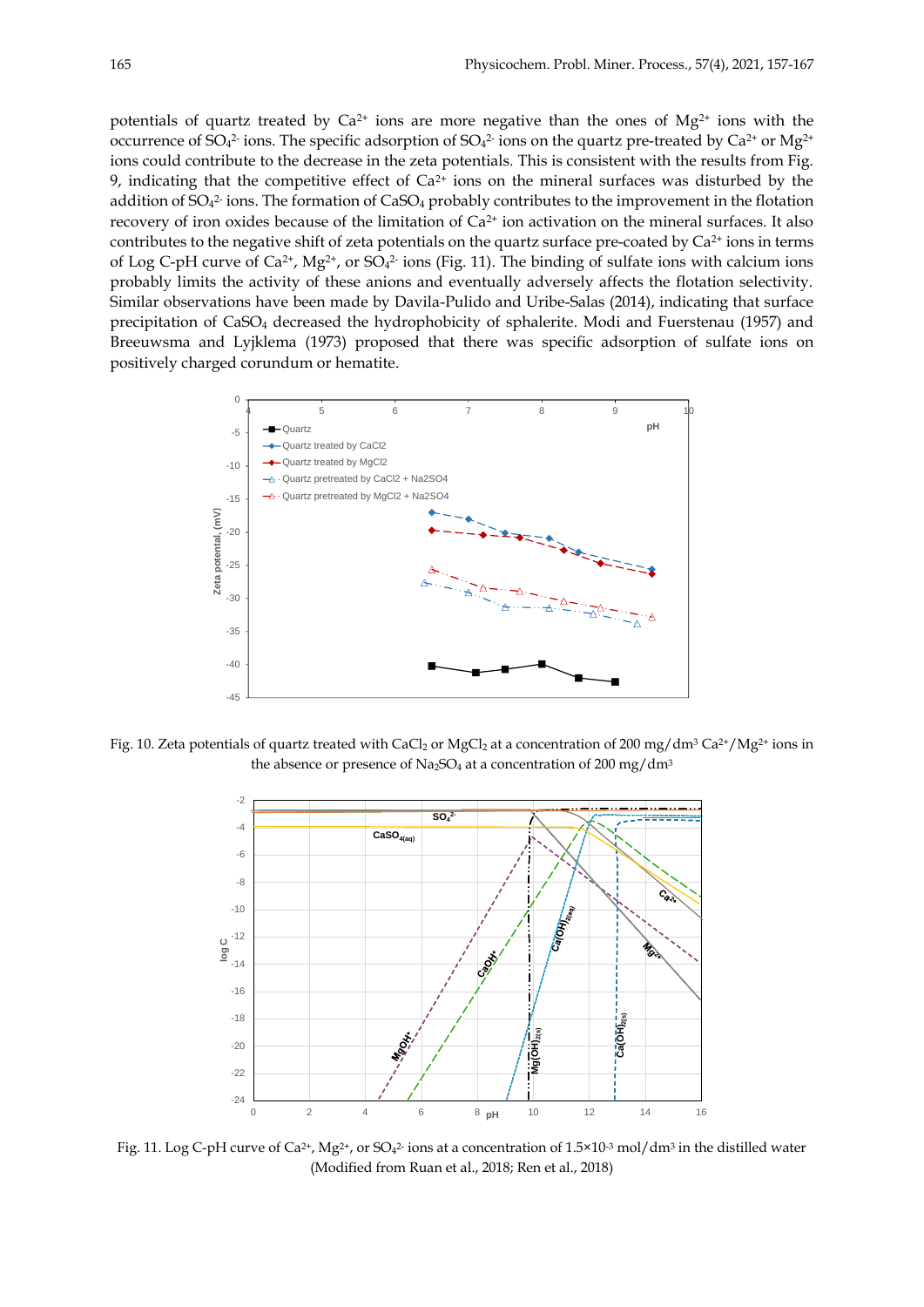potentials of quartz treated by  $Ca^{2+}$  ions are more negative than the ones of Mg<sup>2+</sup> ions with the occurrence of SO4<sup>2</sup> ions. The specific adsorption of SO4<sup>2</sup> ions on the quartz pre-treated by Ca<sup>2+</sup> or Mg<sup>2+</sup> ions could contribute to the decrease in the zeta potentials. This is consistent with the results from Fig. 9, indicating that the competitive effect of  $Ca^{2+}$  ions on the mineral surfaces was disturbed by the addition of SO<sub>4</sub><sup>2</sup> ions. The formation of CaSO<sub>4</sub> probably contributes to the improvement in the flotation recovery of iron oxides because of the limitation of Ca<sup>2+</sup> ion activation on the mineral surfaces. It also contributes to the negative shift of zeta potentials on the quartz surface pre-coated by Ca<sup>2+</sup> ions in terms of Log C-pH curve of  $Ca^{2+}$ , Mg<sup>2+</sup>, or  $SO_4^{2-}$  ions (Fig. 11). The binding of sulfate ions with calcium ions probably limits the activity of these anions and eventually adversely affects the flotation selectivity. Similar observations have been made by Davila-Pulido and Uribe-Salas (2014), indicating that surface precipitation of CaSO<sup>4</sup> decreased the hydrophobicity of sphalerite. Modi and Fuerstenau (1957) and Breeuwsma and Lyjklema (1973) proposed that there was specific adsorption of sulfate ions on positively charged corundum or hematite.



Fig. 10. Zeta potentials of quartz treated with CaCl<sub>2</sub> or MgCl<sub>2</sub> at a concentration of 200 mg/dm<sup>3</sup> Ca<sup>2+</sup>/Mg<sup>2+</sup> ions in the absence or presence of Na<sub>2</sub>SO<sub>4</sub> at a concentration of 200 mg/dm<sup>3</sup>



Fig. 11. Log C-pH curve of Ca<sup>2+</sup>, Mg<sup>2+</sup>, or SO<sub>4</sub><sup>2</sup> ions at a concentration of 1.5×10<sup>-3</sup> mol/dm<sup>3</sup> in the distilled water (Modified from Ruan et al., 2018; Ren et al., 2018)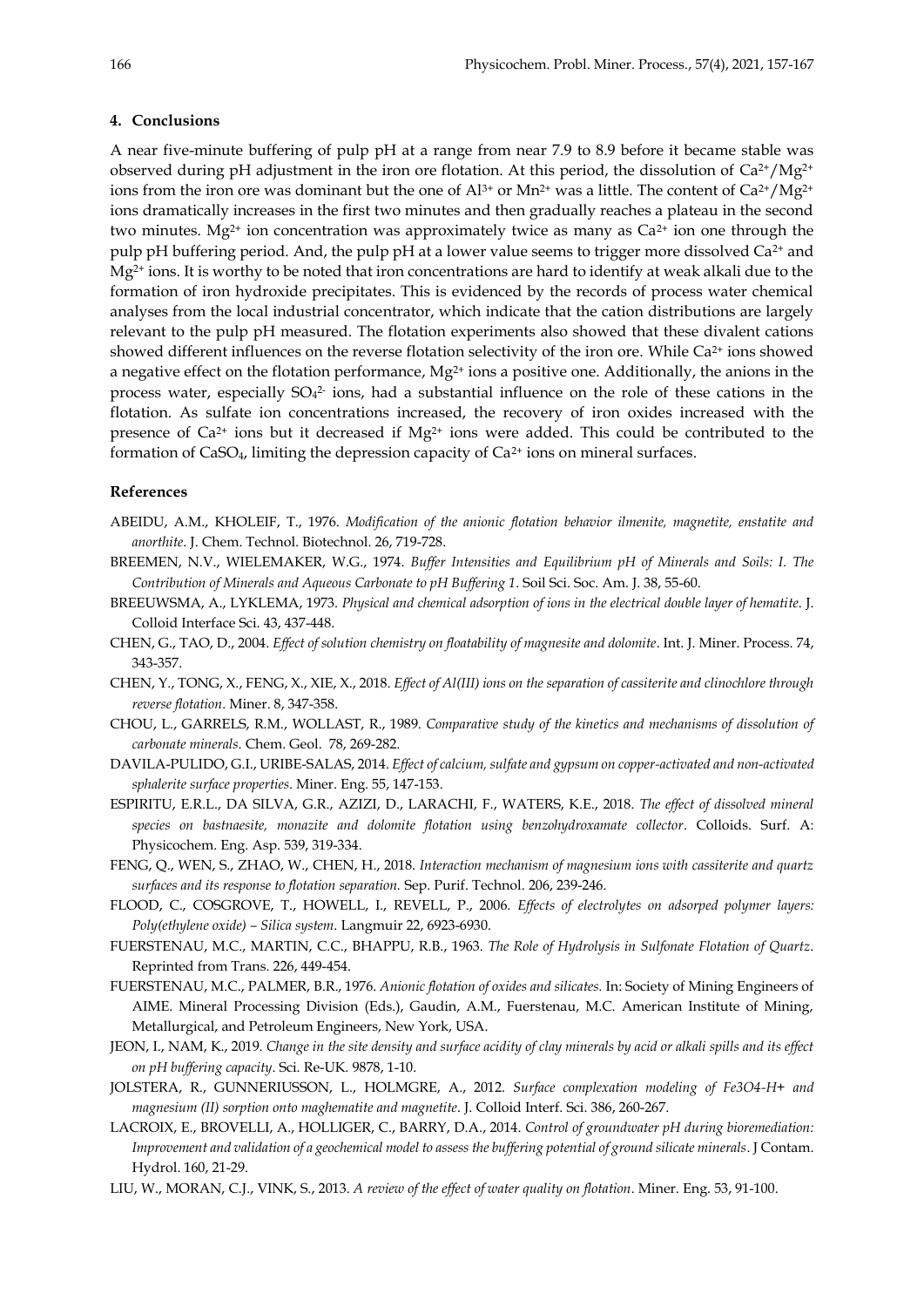#### **4. Conclusions**

A near five-minute buffering of pulp pH at a range from near 7.9 to 8.9 before it became stable was observed during pH adjustment in the iron ore flotation. At this period, the dissolution of  $Ca^{2+}/Mg^{2+}$ ions from the iron ore was dominant but the one of  $Al^{3+}$  or  $Mn^{2+}$  was a little. The content of  $Ca^{2+}/Mg^{2+}$ ions dramatically increases in the first two minutes and then gradually reaches a plateau in the second two minutes. Mg<sup>2+</sup> ion concentration was approximately twice as many as  $Ca<sup>2+</sup>$  ion one through the pulp pH buffering period. And, the pulp pH at a lower value seems to trigger more dissolved  $Ca^{2+}$  and Mg<sup>2+</sup> ions. It is worthy to be noted that iron concentrations are hard to identify at weak alkali due to the formation of iron hydroxide precipitates. This is evidenced by the records of process water chemical analyses from the local industrial concentrator, which indicate that the cation distributions are largely relevant to the pulp pH measured. The flotation experiments also showed that these divalent cations showed different influences on the reverse flotation selectivity of the iron ore. While Ca<sup>2+</sup> ions showed a negative effect on the flotation performance,  $Mg^{2+}$  ions a positive one. Additionally, the anions in the process water, especially  $SO<sub>4</sub><sup>2</sup>$  ions, had a substantial influence on the role of these cations in the flotation. As sulfate ion concentrations increased, the recovery of iron oxides increased with the presence of Ca<sup>2+</sup> ions but it decreased if Mg<sup>2+</sup> ions were added. This could be contributed to the formation of  $CaSO<sub>4</sub>$ , limiting the depression capacity of  $Ca<sup>2+</sup>$  ions on mineral surfaces.

## **References**

- ABEIDU, A.M., KHOLEIF, T., 1976. *Modification of the anionic flotation behavior ilmenite, magnetite, enstatite and anorthite*. J. Chem. Technol. Biotechnol. 26, 719-728.
- BREEMEN, N.V., WIELEMAKER, W.G., 1974. *Buffer Intensities and Equilibrium pH of Minerals and Soils: I. The Contribution of Minerals and Aqueous Carbonate to pH Buffering 1*. Soil Sci. Soc. Am. J. 38, 55-60.
- BREEUWSMA, A., LYKLEMA, 1973. *Physical and chemical adsorption of ions in the electrical double layer of hematite*. J. Colloid Interface Sci. 43, 437-448.
- CHEN, G., TAO, D., 2004. *Effect of solution chemistry on floatability of magnesite and dolomite*. Int. J. Miner. Process. 74, 343-357.
- CHEN, Y., TONG, X., FENG, X., XIE, X., 2018. *Effect of Al(III) ions on the separation of cassiterite and clinochlore through reverse flotation*. Miner. 8, 347-358.
- CHOU, L., GARRELS, R.M., WOLLAST, R., 1989. *Comparative study of the kinetics and mechanisms of dissolution of carbonate minerals*. Chem. Geol. 78, 269-282.
- DAVILA-PULIDO, G.I., URIBE-SALAS, 2014. *Effect of calcium, sulfate and gypsum on copper-activated and non-activated sphalerite surface properties*. Miner. Eng. 55, 147-153.
- ESPIRITU, E.R.L., DA SILVA, G.R., AZIZI, D., LARACHI, F., WATERS, K.E., 2018. *The effect of dissolved mineral species on bastnaesite, monazite and dolomite flotation using benzohydroxamate collector*. Colloids. Surf. A: Physicochem. Eng. Asp. 539, 319-334.
- FENG, Q., WEN, S., ZHAO, W., CHEN, H., 2018. *Interaction mechanism of magnesium ions with cassiterite and quartz surfaces and its response to flotation separation.* Sep. Purif. Technol. 206, 239-246.
- FLOOD, C., COSGROVE, T., HOWELL, I., REVELL, P., 2006. *Effects of electrolytes on adsorped polymer layers: Poly(ethylene oxide) – Silica system*. Langmuir 22, 6923-6930.
- FUERSTENAU, M.C., MARTIN, C.C., BHAPPU, R.B., 1963. *The Role of Hydrolysis in Sulfonate Flotation of Quartz*. Reprinted from Trans. 226, 449-454.
- FUERSTENAU, M.C., PALMER, B.R., 1976. *Anionic flotation of oxides and silicates.* In: Society of Mining Engineers of AIME. Mineral Processing Division (Eds.), Gaudin, A.M., Fuerstenau, M.C. American Institute of Mining, Metallurgical, and Petroleum Engineers, New York, USA.
- JEON, I., NAM, K., 2019. *Change in the site density and surface acidity of clay minerals by acid or alkali spills and its effect on pH buffering capacity*. Sci. Re-UK. 9878, 1-10.
- JOLSTERA, R., GUNNERIUSSON, L., HOLMGRE, A., 2012. *Surface complexation modeling of Fe3O4-H+ and magnesium (II) sorption onto maghematite and magnetite*. J. Colloid Interf. Sci. 386, 260-267.
- LACROIX, E., BROVELLI, A., HOLLIGER, C., BARRY, D.A., 2014. *Control of groundwater pH during bioremediation: Improvement and validation of a geochemical model to assess the buffering potential of ground silicate minerals*. J Contam. Hydrol. 160, 21-29.
- LIU, W., MORAN, C.J., VINK, S., 2013. *A review of the effect of water quality on flotation*. Miner. Eng. 53, 91-100.